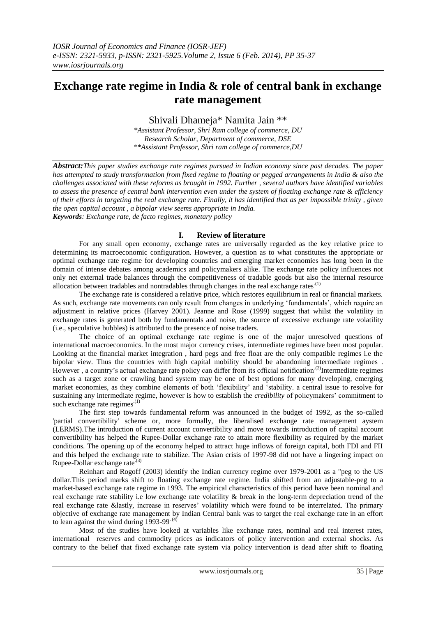# **Exchange rate regime in India & role of central bank in exchange rate management**

Shivali Dhameja\* Namita Jain \*\*

*\*Assistant Professor, Shri Ram college of commerce, DU Research Scholar, Department of commerce, DSE \*\*Assistant Professor, Shri ram college of commerce,DU*

*Abstract:This paper studies exchange rate regimes pursued in Indian economy since past decades. The paper has attempted to study transformation from fixed regime to floating or pegged arrangements in India & also the challenges associated with these reforms as brought in 1992. Further , several authors have identified variables to assess the presence of central bank intervention even under the system of floating exchange rate & efficiency of their efforts in targeting the real exchange rate. Finally, it has identified that as per impossible trinity , given the open capital account , a bipolar view seems appropriate in India. Keywords: Exchange rate, de facto regimes, monetary policy*

## **I. Review of literature**

For any small open economy, exchange rates are universally regarded as the key relative price to determining its macroeconomic configuration. However, a question as to what constitutes the appropriate or optimal exchange rate regime for developing countries and emerging market economies has long been in the domain of intense debates among academics and policymakers alike. The exchange rate policy influences not only net external trade balances through the competitiveness of tradable goods but also the internal resource allocation between tradables and nontradables through changes in the real exchange rates<sup> $(1)$ </sup>

The exchange rate is considered a relative price, which restores equilibrium in real or financial markets. As such, exchange rate movements can only result from changes in underlying 'fundamentals', which require an adjustment in relative prices (Harvey 2001). Jeanne and Rose (1999) suggest that whilst the volatility in exchange rates is generated both by fundamentals and noise, the source of excessive exchange rate volatility (i.e., speculative bubbles) is attributed to the presence of noise traders.

The choice of an optimal exchange rate regime is one of the major unresolved questions of international macroeconomics. In the most major currency crises, intermediate regimes have been most popular. Looking at the financial market integration , hard pegs and free float are the only compatible regimes i.e the bipolar view. Thus the countries with high capital mobility should be abandoning intermediate regimes . However, a country's actual exchange rate policy can differ from its official notification.<sup>(2)</sup>Intermediate regimes such as a target zone or crawling band system may be one of best options for many developing, emerging market economies, as they combine elements of both "flexibility" and "stability. a central issue to resolve for sustaining any intermediate regime, however is how to establish the *credibility* of policymakers' commitment to such exchange rate regimes $(1)$ 

The first step towards fundamental reform was announced in the budget of 1992, as the so-called 'partial convertibility' scheme or, more formally, the liberalised exchange rate management aystem (LERMS).The introduction of current account convertibility and move towards introduction of capital account convertibility has helped the Rupee-Dollar exchange rate to attain more flexibility as required by the market conditions. The opening up of the economy helped to attract huge inflows of foreign capital, both FDI and FII and this helped the exchange rate to stabilize. The Asian crisis of 1997-98 did not have a lingering impact on Rupee-Dollar exchange rate $(3)$ 

Reinhart and Rogoff (2003) identify the Indian currency regime over 1979-2001 as a "peg to the US dollar.This period marks shift to floating exchange rate regime. India shifted from an adjustable-peg to a market-based exchange rate regime in 1993. The empirical characteristics of this period have been nominal and real exchange rate stability i.e low exchange rate volatility  $\&$  break in the long-term depreciation trend of the real exchange rate &lastly, increase in reserves' volatility which were found to be interrelated. The primary objective of exchange rate management by Indian Central bank was to target the real exchange rate in an effort to lean against the wind during  $1993-99^{(4)}$ 

Most of the studies have looked at variables like exchange rates, nominal and real interest rates, international reserves and commodity prices as indicators of policy intervention and external shocks. As contrary to the belief that fixed exchange rate system via policy intervention is dead after shift to floating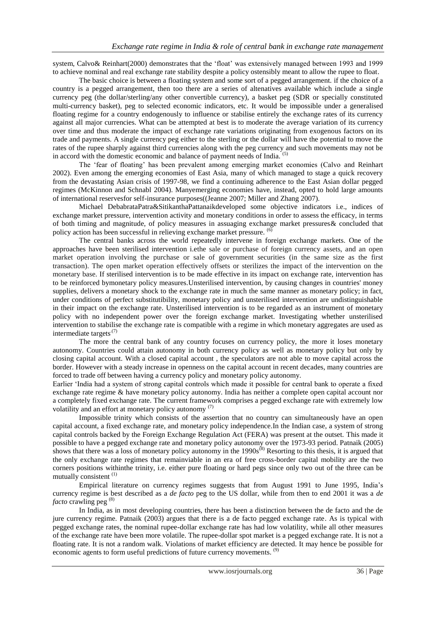system, Calvo& Reinhart(2000) demonstrates that the "float" was extensively managed between 1993 and 1999 to achieve nominal and real exchange rate stability despite a policy ostensibly meant to allow the rupee to float.

The basic choice is between a floating system and some sort of a pegged arrangement. if the choice of a country is a pegged arrangement, then too there are a series of altenatives available which include a single currency peg (the dollar/sterling/any other convertible currency), a basket peg (SDR or specially constituted multi-currency basket), peg to selected economic indicators, etc. It would be impossible under a generalised floating regime for a country endogenously to influence or stabilise entirely the exchange rates of its currency against all major currencies. What can be attempted at best is to moderate the average variation of its currency over time and thus moderate the impact of exchange rate variations originating from exogenous factors on its trade and payments. A single currency peg either to the sterling or the dollar will have the potential to move the rates of the rupee sharply against third currencies along with the peg currency and such movements may not be in accord with the domestic economic and balance of payment needs of India.

The "fear of floating" has been prevalent among emerging market economies (Calvo and Reinhart 2002). Even among the emerging economies of East Asia, many of which managed to stage a quick recovery from the devastating Asian crisis of 1997-98, we find a continuing adherence to the East Asian dollar pegged regimes (McKinnon and Schnabl 2004). Manyemerging economies have, instead, opted to hold large amounts of international reservesfor self-insurance purposes((Jeanne 2007; Miller and Zhang 2007).

Michael DebabrataPatra&SitikanthaPattanaikdeveloped some objective indicators i.e., indices of exchange market pressure, intervention activity and monetary conditions in order to assess the efficacy, in terms of both timing and magnitude, of policy measures in assuaging exchange market pressures& concluded that policy action has been successful in relieving exchange market pressure. (6)

The central banks across the world repeatedly intervene in foreign exchange markets. One of the approaches have been sterilised intervention i.ethe sale or purchase of foreign currency assets, and an open market operation involving the purchase or sale of government securities (in the same size as the first transaction). The open market operation effectively offsets or sterilizes the impact of the intervention on the monetary base. If sterilised intervention is to be made effective in its impact on exchange rate, intervention has to be reinforced bymonetary policy measures.Unsterilised intervention, by causing changes in countries' money supplies, delivers a monetary shock to the exchange rate in much the same manner as monetary policy; in fact, under conditions of perfect substitutibility, monetary policy and unsterilised intervention are undistinguishable in their impact on the exchange rate. Unsterilised intervention is to be regarded as an instrument of monetary policy with no independent power over the foreign exchange market. Investigating whether unsterilised intervention to stabilise the exchange rate is compatible with a regime in which monetary aggregates are used as intermediate targets.(7)

The more the central bank of any country focuses on currency policy, the more it loses monetary autonomy. Countries could attain autonomy in both currency policy as well as monetary policy but only by closing capital account. With a closed capital account , the speculators are not able to move capital across the border. However with a steady increase in openness on the capital account in recent decades, many countries are forced to trade off between having a currency policy and monetary policy autonomy.

Earlier "India had a system of strong capital controls which made it possible for central bank to operate a fixed exchange rate regime & have monetary policy autonomy. India has neither a complete open capital account nor a completely fixed exchange rate. The current framework comprises a pegged exchange rate with extremely low volatility and an effort at monetary policy autonomy  $(7)$ 

Impossible trinity which consists of the assertion that no country can simultaneously have an open capital account, a fixed exchange rate, and monetary policy independence.In the Indian case, a system of strong capital controls backed by the Foreign Exchange Regulation Act (FERA) was present at the outset. This made it possible to have a pegged exchange rate and monetary policy autonomy over the 1973-93 period. Patnaik (2005) shows that there was a loss of monetary policy autonomy in the 1990s<sup>(8)</sup> Resorting to this thesis, it is argued that the only exchange rate regimes that remainviable in an era of free cross-border capital mobility are the two corners positions withinthe trinity, i.e. either pure floating or hard pegs since only two out of the three can be mutually consistent<sup>(1)</sup>

Empirical literature on currency regimes suggests that from August 1991 to June 1995, India"s currency regime is best described as a *de facto* peg to the US dollar, while from then to end 2001 it was a *de facto* crawling peg<sup>(8)</sup>

In India, as in most developing countries, there has been a distinction between the de facto and the de jure currency regime. Patnaik (2003) argues that there is a de facto pegged exchange rate. As is typical with pegged exchange rates, the nominal rupee-dollar exchange rate has had low volatility, while all other measures of the exchange rate have been more volatile. The rupee-dollar spot market is a pegged exchange rate. It is not a floating rate. It is not a random walk. Violations of market efficiency are detected. It may hence be possible for economic agents to form useful predictions of future currency movements. <sup>(9)</sup>